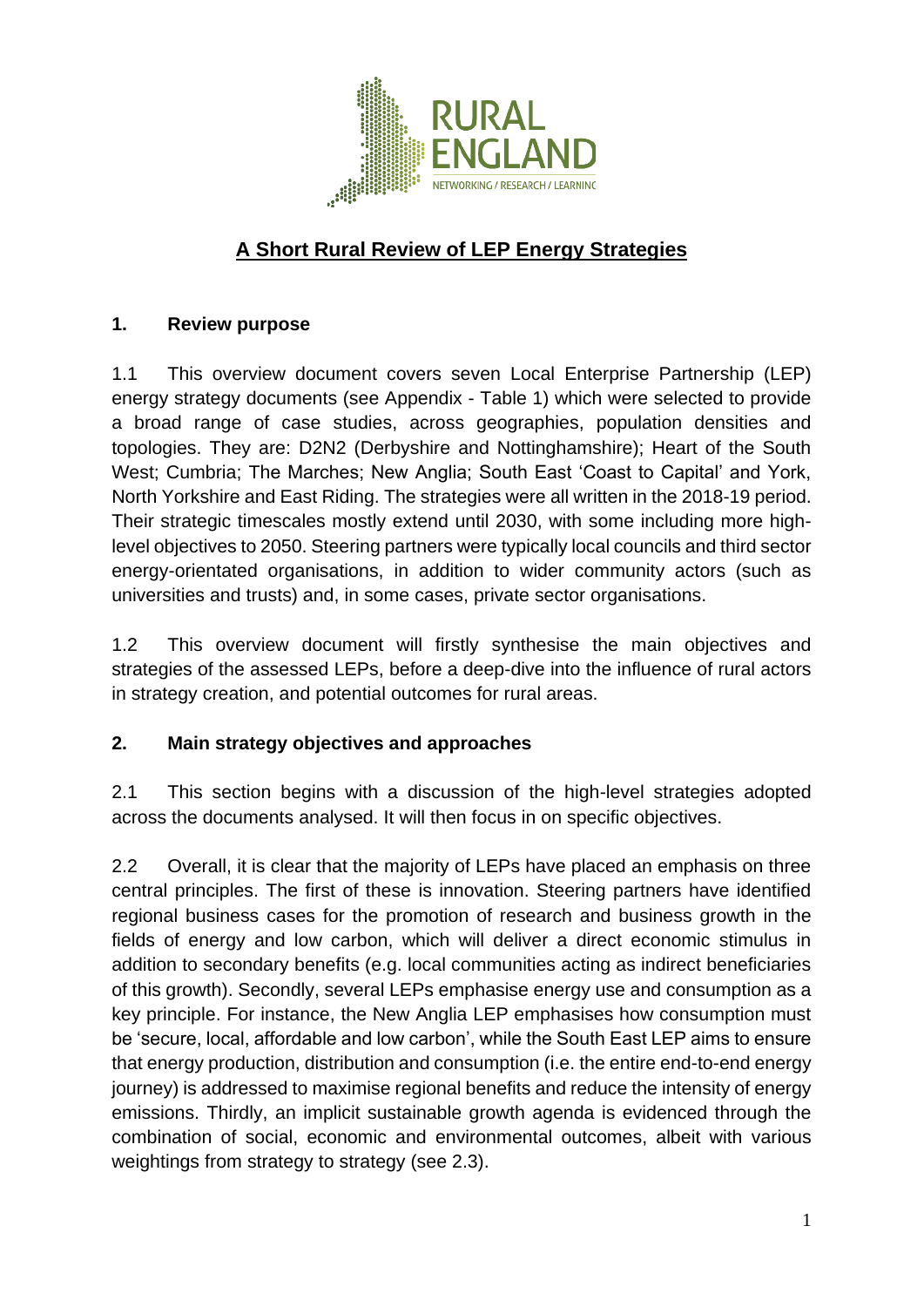

# **A Short Rural Review of LEP Energy Strategies**

### **1. Review purpose**

1.1 This overview document covers seven Local Enterprise Partnership (LEP) energy strategy documents (see Appendix - Table 1) which were selected to provide a broad range of case studies, across geographies, population densities and topologies. They are: D2N2 (Derbyshire and Nottinghamshire); Heart of the South West: Cumbria: The Marches: New Anglia: South East 'Coast to Capital' and York, North Yorkshire and East Riding. The strategies were all written in the 2018-19 period. Their strategic timescales mostly extend until 2030, with some including more highlevel objectives to 2050. Steering partners were typically local councils and third sector energy-orientated organisations, in addition to wider community actors (such as universities and trusts) and, in some cases, private sector organisations.

1.2 This overview document will firstly synthesise the main objectives and strategies of the assessed LEPs, before a deep-dive into the influence of rural actors in strategy creation, and potential outcomes for rural areas.

### **2. Main strategy objectives and approaches**

2.1 This section begins with a discussion of the high-level strategies adopted across the documents analysed. It will then focus in on specific objectives.

2.2 Overall, it is clear that the majority of LEPs have placed an emphasis on three central principles. The first of these is innovation. Steering partners have identified regional business cases for the promotion of research and business growth in the fields of energy and low carbon, which will deliver a direct economic stimulus in addition to secondary benefits (e.g. local communities acting as indirect beneficiaries of this growth). Secondly, several LEPs emphasise energy use and consumption as a key principle. For instance, the New Anglia LEP emphasises how consumption must be 'secure, local, affordable and low carbon', while the South East LEP aims to ensure that energy production, distribution and consumption (i.e. the entire end-to-end energy journey) is addressed to maximise regional benefits and reduce the intensity of energy emissions. Thirdly, an implicit sustainable growth agenda is evidenced through the combination of social, economic and environmental outcomes, albeit with various weightings from strategy to strategy (see 2.3).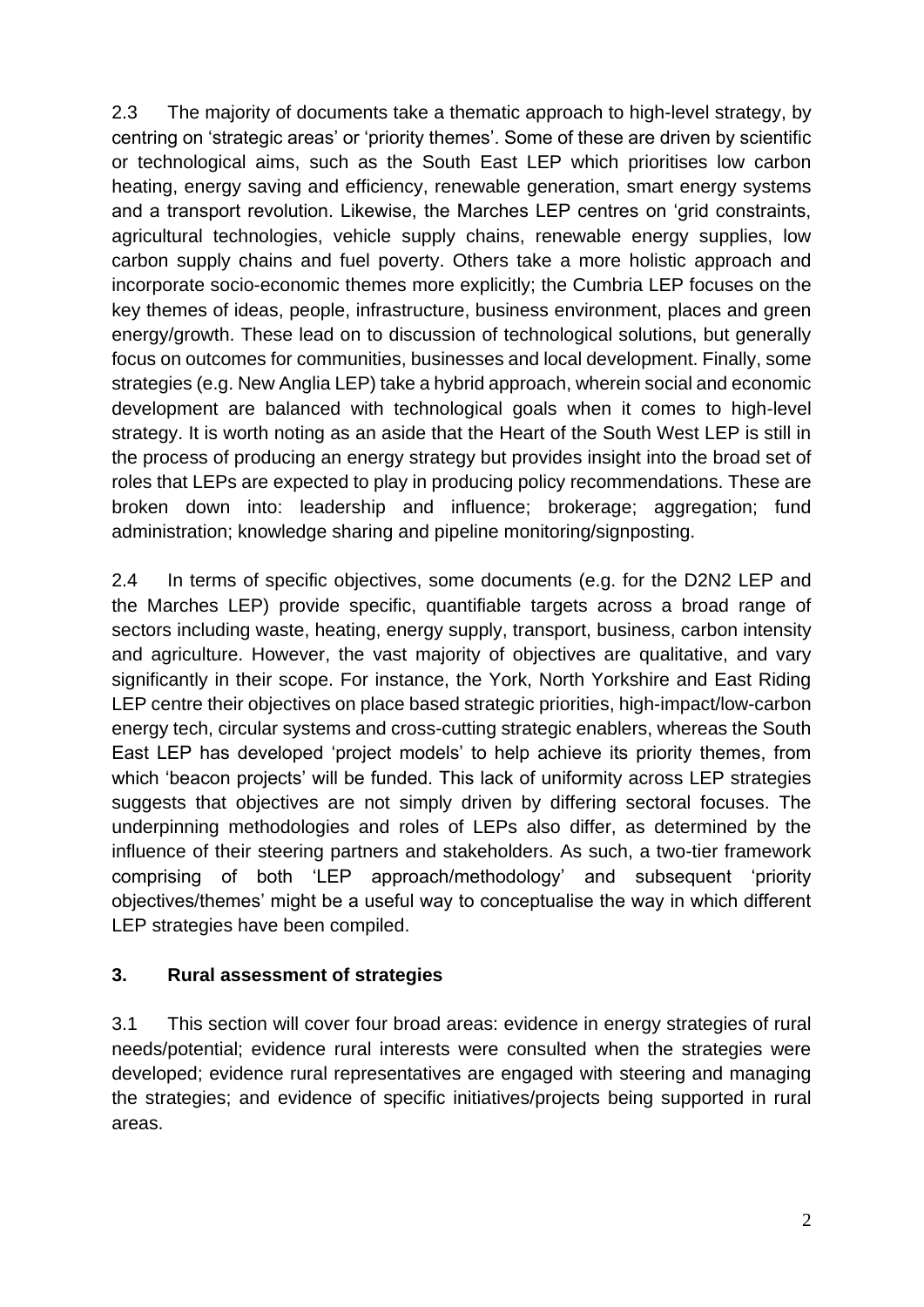2.3 The majority of documents take a thematic approach to high-level strategy, by centring on 'strategic areas' or 'priority themes'. Some of these are driven by scientific or technological aims, such as the South East LEP which prioritises low carbon heating, energy saving and efficiency, renewable generation, smart energy systems and a transport revolution. Likewise, the Marches LEP centres on 'grid constraints, agricultural technologies, vehicle supply chains, renewable energy supplies, low carbon supply chains and fuel poverty. Others take a more holistic approach and incorporate socio-economic themes more explicitly; the Cumbria LEP focuses on the key themes of ideas, people, infrastructure, business environment, places and green energy/growth. These lead on to discussion of technological solutions, but generally focus on outcomes for communities, businesses and local development. Finally, some strategies (e.g. New Anglia LEP) take a hybrid approach, wherein social and economic development are balanced with technological goals when it comes to high-level strategy. It is worth noting as an aside that the Heart of the South West LEP is still in the process of producing an energy strategy but provides insight into the broad set of roles that LEPs are expected to play in producing policy recommendations. These are broken down into: leadership and influence; brokerage; aggregation; fund administration; knowledge sharing and pipeline monitoring/signposting.

2.4 In terms of specific objectives, some documents (e.g. for the D2N2 LEP and the Marches LEP) provide specific, quantifiable targets across a broad range of sectors including waste, heating, energy supply, transport, business, carbon intensity and agriculture. However, the vast majority of objectives are qualitative, and vary significantly in their scope. For instance, the York, North Yorkshire and East Riding LEP centre their objectives on place based strategic priorities, high-impact/low-carbon energy tech, circular systems and cross-cutting strategic enablers, whereas the South East LEP has developed 'project models' to help achieve its priority themes, from which 'beacon projects' will be funded. This lack of uniformity across LEP strategies suggests that objectives are not simply driven by differing sectoral focuses. The underpinning methodologies and roles of LEPs also differ, as determined by the influence of their steering partners and stakeholders. As such, a two-tier framework comprising of both 'LEP approach/methodology' and subsequent 'priority objectives/themes' might be a useful way to conceptualise the way in which different LEP strategies have been compiled.

## **3. Rural assessment of strategies**

3.1 This section will cover four broad areas: evidence in energy strategies of rural needs/potential; evidence rural interests were consulted when the strategies were developed; evidence rural representatives are engaged with steering and managing the strategies; and evidence of specific initiatives/projects being supported in rural areas.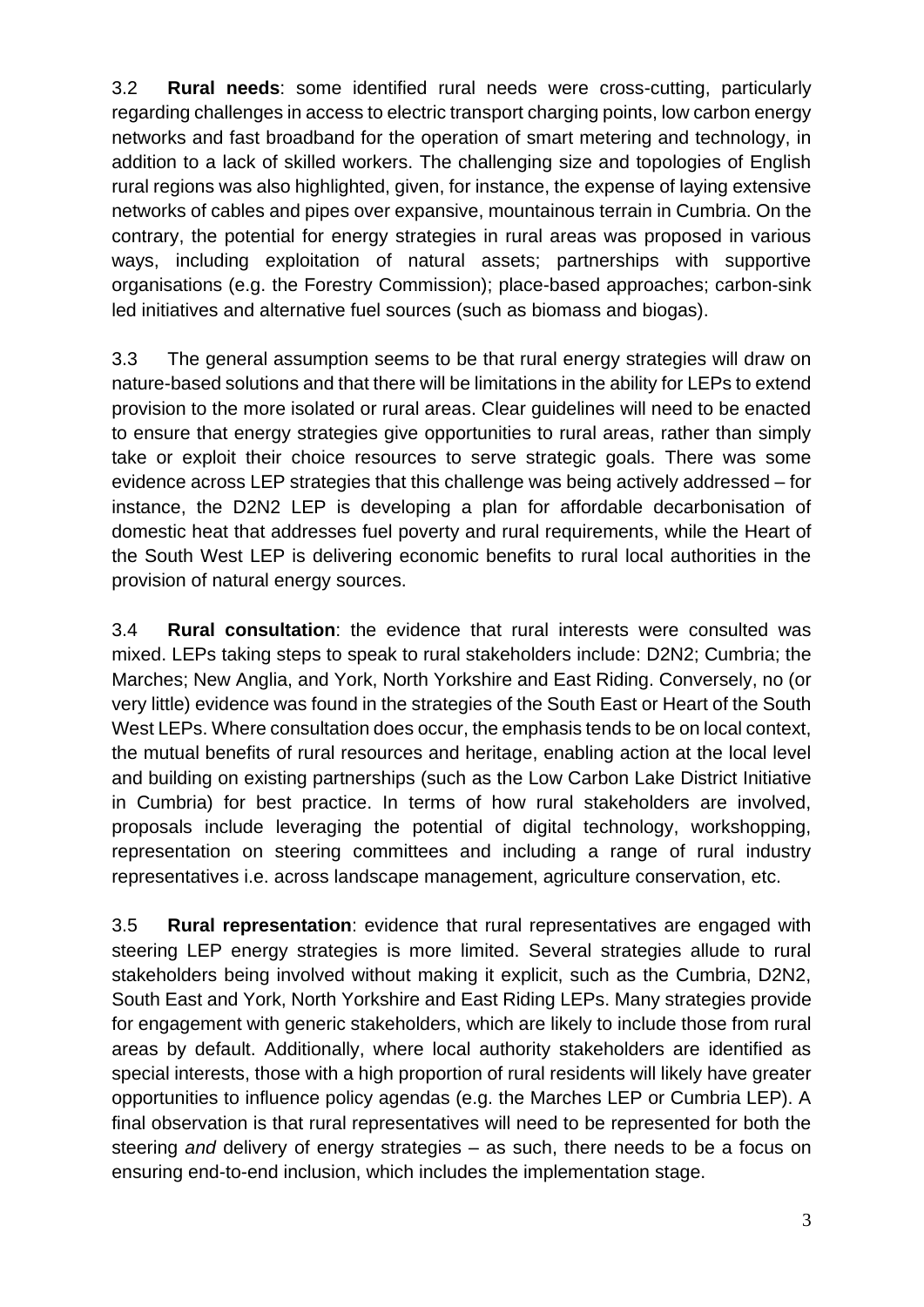3.2 **Rural needs**: some identified rural needs were cross-cutting, particularly regarding challenges in access to electric transport charging points, low carbon energy networks and fast broadband for the operation of smart metering and technology, in addition to a lack of skilled workers. The challenging size and topologies of English rural regions was also highlighted, given, for instance, the expense of laying extensive networks of cables and pipes over expansive, mountainous terrain in Cumbria. On the contrary, the potential for energy strategies in rural areas was proposed in various ways, including exploitation of natural assets; partnerships with supportive organisations (e.g. the Forestry Commission); place-based approaches; carbon-sink led initiatives and alternative fuel sources (such as biomass and biogas).

3.3 The general assumption seems to be that rural energy strategies will draw on nature-based solutions and that there will be limitations in the ability for LEPs to extend provision to the more isolated or rural areas. Clear guidelines will need to be enacted to ensure that energy strategies give opportunities to rural areas, rather than simply take or exploit their choice resources to serve strategic goals. There was some evidence across LEP strategies that this challenge was being actively addressed – for instance, the D2N2 LEP is developing a plan for affordable decarbonisation of domestic heat that addresses fuel poverty and rural requirements, while the Heart of the South West LEP is delivering economic benefits to rural local authorities in the provision of natural energy sources.

3.4 **Rural consultation**: the evidence that rural interests were consulted was mixed. LEPs taking steps to speak to rural stakeholders include: D2N2; Cumbria; the Marches; New Anglia, and York, North Yorkshire and East Riding. Conversely, no (or very little) evidence was found in the strategies of the South East or Heart of the South West LEPs. Where consultation does occur, the emphasis tends to be on local context, the mutual benefits of rural resources and heritage, enabling action at the local level and building on existing partnerships (such as the Low Carbon Lake District Initiative in Cumbria) for best practice. In terms of how rural stakeholders are involved, proposals include leveraging the potential of digital technology, workshopping, representation on steering committees and including a range of rural industry representatives i.e. across landscape management, agriculture conservation, etc.

3.5 **Rural representation**: evidence that rural representatives are engaged with steering LEP energy strategies is more limited. Several strategies allude to rural stakeholders being involved without making it explicit, such as the Cumbria, D2N2, South East and York, North Yorkshire and East Riding LEPs. Many strategies provide for engagement with generic stakeholders, which are likely to include those from rural areas by default. Additionally, where local authority stakeholders are identified as special interests, those with a high proportion of rural residents will likely have greater opportunities to influence policy agendas (e.g. the Marches LEP or Cumbria LEP). A final observation is that rural representatives will need to be represented for both the steering *and* delivery of energy strategies – as such, there needs to be a focus on ensuring end-to-end inclusion, which includes the implementation stage.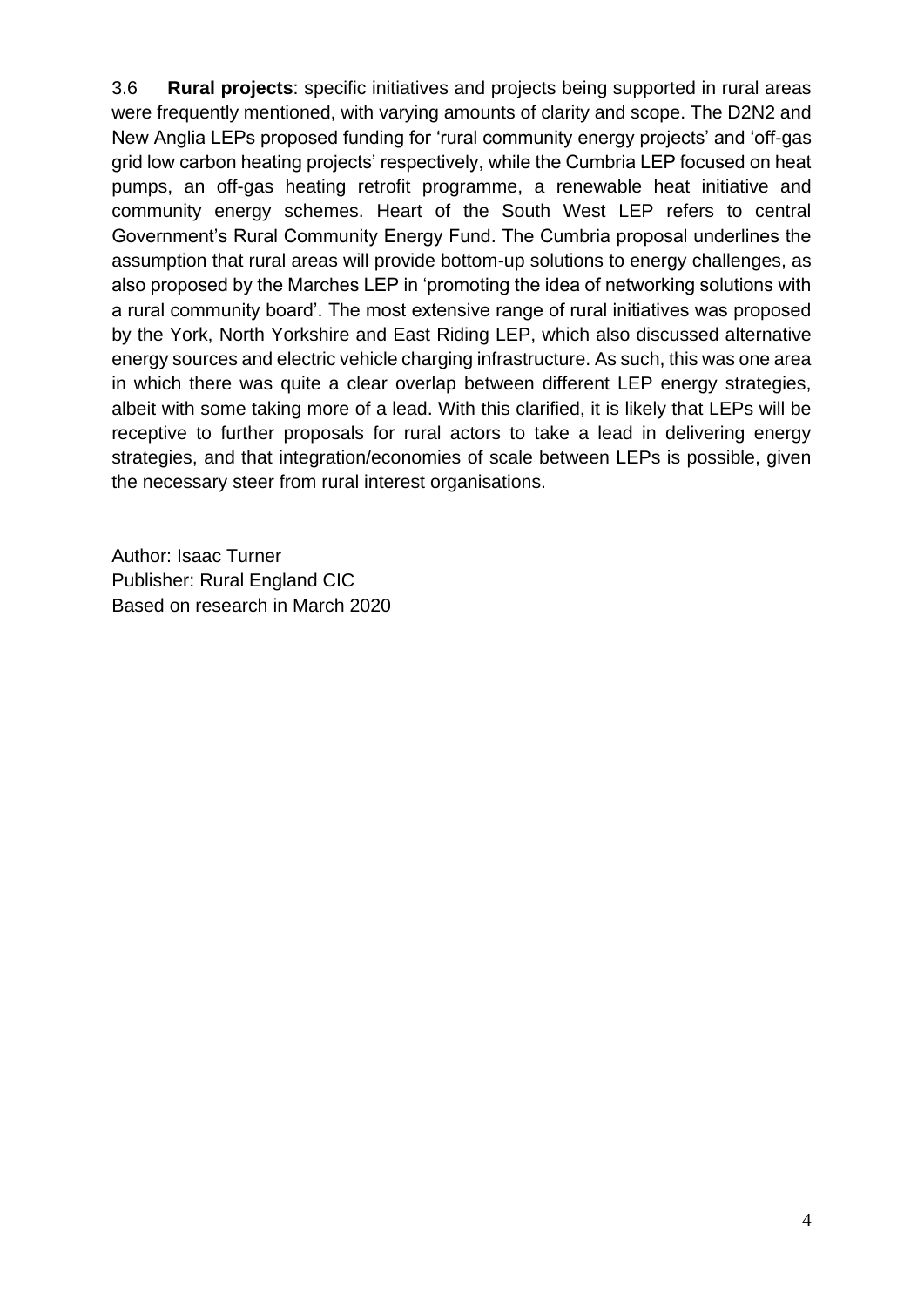3.6 **Rural projects**: specific initiatives and projects being supported in rural areas were frequently mentioned, with varying amounts of clarity and scope. The D2N2 and New Anglia LEPs proposed funding for 'rural community energy projects' and 'off-gas grid low carbon heating projects' respectively, while the Cumbria LEP focused on heat pumps, an off-gas heating retrofit programme, a renewable heat initiative and community energy schemes. Heart of the South West LEP refers to central Government's Rural Community Energy Fund. The Cumbria proposal underlines the assumption that rural areas will provide bottom-up solutions to energy challenges, as also proposed by the Marches LEP in 'promoting the idea of networking solutions with a rural community board'. The most extensive range of rural initiatives was proposed by the York, North Yorkshire and East Riding LEP, which also discussed alternative energy sources and electric vehicle charging infrastructure. As such, this was one area in which there was quite a clear overlap between different LEP energy strategies, albeit with some taking more of a lead. With this clarified, it is likely that LEPs will be receptive to further proposals for rural actors to take a lead in delivering energy strategies, and that integration/economies of scale between LEPs is possible, given the necessary steer from rural interest organisations.

Author: Isaac Turner Publisher: Rural England CIC Based on research in March 2020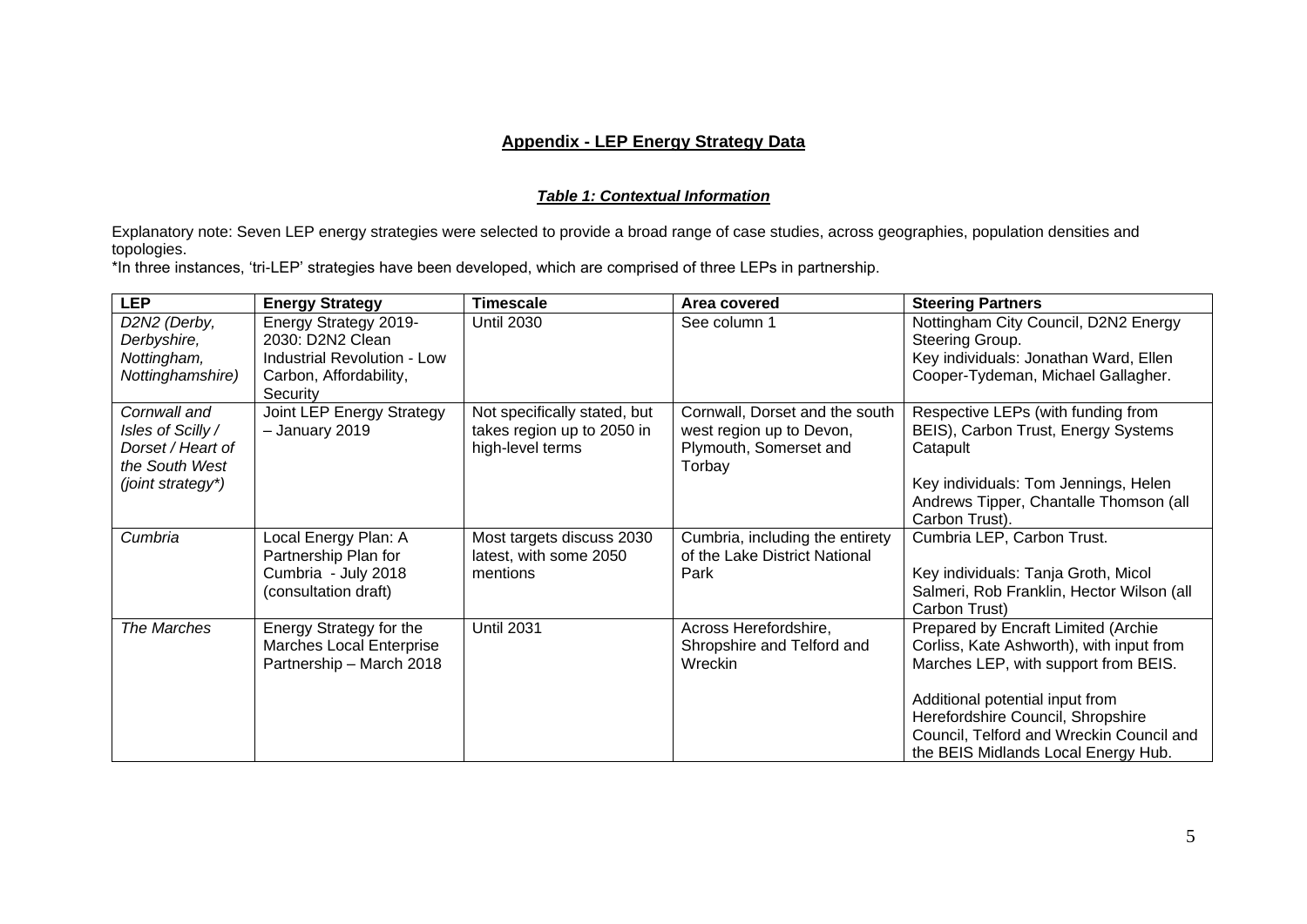#### **Appendix - LEP Energy Strategy Data**

#### *Table 1: Contextual Information*

Explanatory note: Seven LEP energy strategies were selected to provide a broad range of case studies, across geographies, population densities and topologies.

\*In three instances, 'tri-LEP' strategies have been developed, which are comprised of three LEPs in partnership.

| <b>LEP</b>                                                                                    | <b>Energy Strategy</b>                                                                                         | <b>Timescale</b>                                                               | Area covered                                                                                   | <b>Steering Partners</b>                                                                                                                                                                                                                                                           |
|-----------------------------------------------------------------------------------------------|----------------------------------------------------------------------------------------------------------------|--------------------------------------------------------------------------------|------------------------------------------------------------------------------------------------|------------------------------------------------------------------------------------------------------------------------------------------------------------------------------------------------------------------------------------------------------------------------------------|
| D2N2 (Derby,<br>Derbyshire,<br>Nottingham,<br>Nottinghamshire)                                | Energy Strategy 2019-<br>2030: D2N2 Clean<br>Industrial Revolution - Low<br>Carbon, Affordability,<br>Security | <b>Until 2030</b>                                                              | See column 1                                                                                   | Nottingham City Council, D2N2 Energy<br>Steering Group.<br>Key individuals: Jonathan Ward, Ellen<br>Cooper-Tydeman, Michael Gallagher.                                                                                                                                             |
| Cornwall and<br>Isles of Scilly /<br>Dorset / Heart of<br>the South West<br>(joint strategy*) | Joint LEP Energy Strategy<br>- January 2019                                                                    | Not specifically stated, but<br>takes region up to 2050 in<br>high-level terms | Cornwall, Dorset and the south<br>west region up to Devon,<br>Plymouth, Somerset and<br>Torbay | Respective LEPs (with funding from<br>BEIS), Carbon Trust, Energy Systems<br>Catapult<br>Key individuals: Tom Jennings, Helen<br>Andrews Tipper, Chantalle Thomson (all                                                                                                            |
| Cumbria                                                                                       | Local Energy Plan: A<br>Partnership Plan for<br>Cumbria - July 2018<br>(consultation draft)                    | Most targets discuss 2030<br>latest, with some 2050<br>mentions                | Cumbria, including the entirety<br>of the Lake District National<br>Park                       | Carbon Trust).<br>Cumbria LEP, Carbon Trust.<br>Key individuals: Tanja Groth, Micol<br>Salmeri, Rob Franklin, Hector Wilson (all<br>Carbon Trust)                                                                                                                                  |
| The Marches                                                                                   | Energy Strategy for the<br>Marches Local Enterprise<br>Partnership - March 2018                                | <b>Until 2031</b>                                                              | Across Herefordshire,<br>Shropshire and Telford and<br>Wreckin                                 | Prepared by Encraft Limited (Archie<br>Corliss, Kate Ashworth), with input from<br>Marches LEP, with support from BEIS.<br>Additional potential input from<br>Herefordshire Council, Shropshire<br>Council, Telford and Wreckin Council and<br>the BEIS Midlands Local Energy Hub. |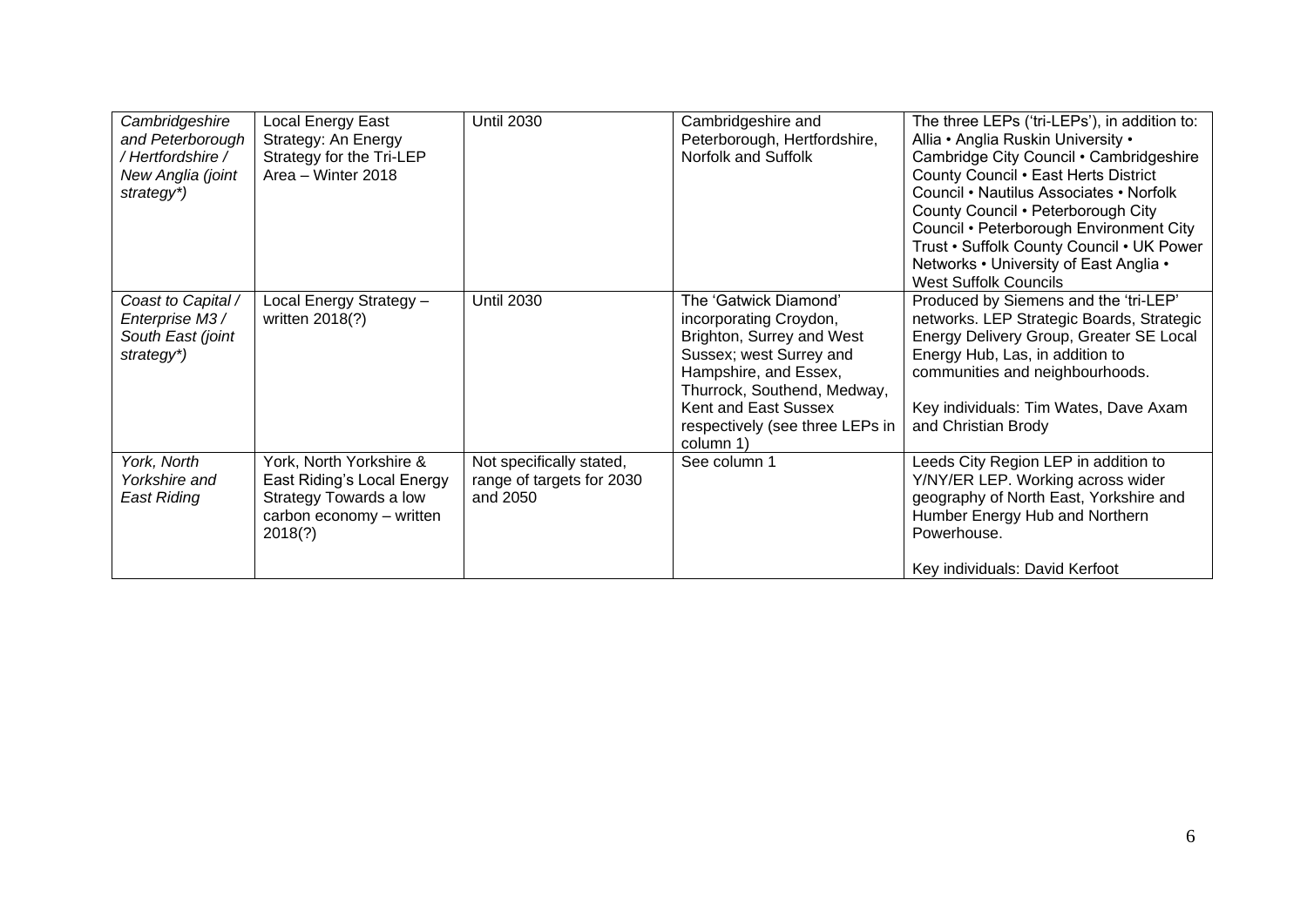| Cambridgeshire<br>and Peterborough<br>/ Hertfordshire /<br>New Anglia (joint<br>strategy*) | Local Energy East<br>Strategy: An Energy<br>Strategy for the Tri-LEP<br>Area - Winter 2018                             | <b>Until 2030</b>                                                 | Cambridgeshire and<br>Peterborough, Hertfordshire,<br>Norfolk and Suffolk                                                                                                                                                               | The three LEPs ('tri-LEPs'), in addition to:<br>Allia • Anglia Ruskin University •<br>Cambridge City Council • Cambridgeshire<br>County Council . East Herts District<br>Council • Nautilus Associates • Norfolk<br>County Council • Peterborough City<br>Council • Peterborough Environment City<br>Trust • Suffolk County Council • UK Power<br>Networks • University of East Anglia •<br><b>West Suffolk Councils</b> |
|--------------------------------------------------------------------------------------------|------------------------------------------------------------------------------------------------------------------------|-------------------------------------------------------------------|-----------------------------------------------------------------------------------------------------------------------------------------------------------------------------------------------------------------------------------------|--------------------------------------------------------------------------------------------------------------------------------------------------------------------------------------------------------------------------------------------------------------------------------------------------------------------------------------------------------------------------------------------------------------------------|
| Coast to Capital /<br>Enterprise M3 /<br>South East (joint<br>strategy*)                   | Local Energy Strategy -<br>written 2018(?)                                                                             | <b>Until 2030</b>                                                 | The 'Gatwick Diamond'<br>incorporating Croydon,<br>Brighton, Surrey and West<br>Sussex; west Surrey and<br>Hampshire, and Essex,<br>Thurrock, Southend, Medway,<br>Kent and East Sussex<br>respectively (see three LEPs in<br>column 1) | Produced by Siemens and the 'tri-LEP'<br>networks. LEP Strategic Boards, Strategic<br>Energy Delivery Group, Greater SE Local<br>Energy Hub, Las, in addition to<br>communities and neighbourhoods.<br>Key individuals: Tim Wates, Dave Axam<br>and Christian Brody                                                                                                                                                      |
| York, North<br>Yorkshire and<br>East Riding                                                | York, North Yorkshire &<br>East Riding's Local Energy<br>Strategy Towards a low<br>carbon economy - written<br>2018(?) | Not specifically stated,<br>range of targets for 2030<br>and 2050 | See column 1                                                                                                                                                                                                                            | Leeds City Region LEP in addition to<br>Y/NY/ER LEP. Working across wider<br>geography of North East, Yorkshire and<br>Humber Energy Hub and Northern<br>Powerhouse.<br>Key individuals: David Kerfoot                                                                                                                                                                                                                   |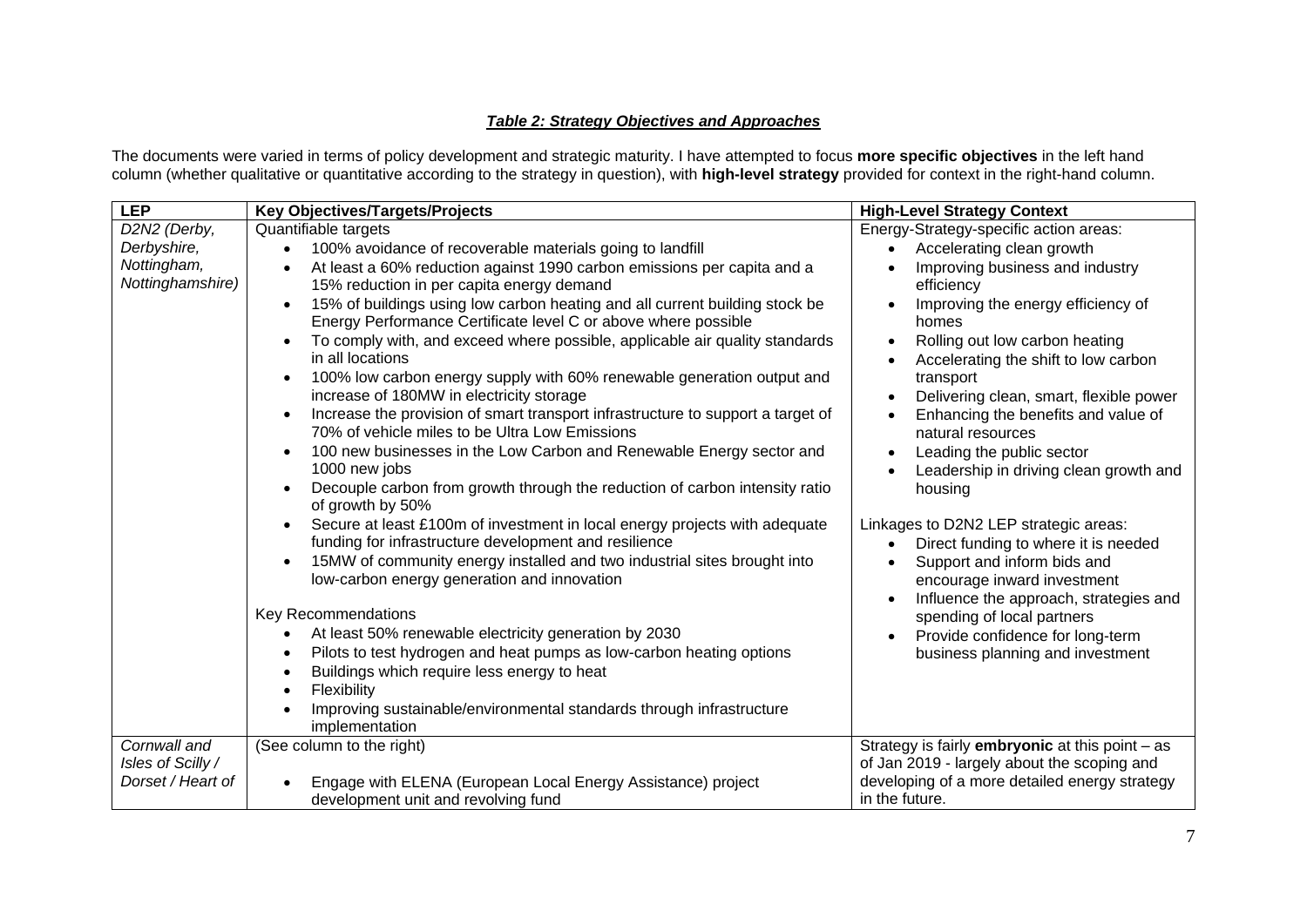#### *Table 2: Strategy Objectives and Approaches*

The documents were varied in terms of policy development and strategic maturity. I have attempted to focus **more specific objectives** in the left hand column (whether qualitative or quantitative according to the strategy in question), with **high-level strategy** provided for context in the right-hand column.

| <b>LEP</b>        | <b>Key Objectives/Targets/Projects</b>                                                                             | <b>High-Level Strategy Context</b>                   |
|-------------------|--------------------------------------------------------------------------------------------------------------------|------------------------------------------------------|
| D2N2 (Derby,      | Quantifiable targets                                                                                               | Energy-Strategy-specific action areas:               |
| Derbyshire,       | 100% avoidance of recoverable materials going to landfill                                                          | Accelerating clean growth                            |
| Nottingham,       | At least a 60% reduction against 1990 carbon emissions per capita and a                                            | Improving business and industry                      |
| Nottinghamshire)  | 15% reduction in per capita energy demand                                                                          | efficiency                                           |
|                   | 15% of buildings using low carbon heating and all current building stock be                                        | Improving the energy efficiency of                   |
|                   | Energy Performance Certificate level C or above where possible                                                     | homes                                                |
|                   | To comply with, and exceed where possible, applicable air quality standards                                        | Rolling out low carbon heating                       |
|                   | in all locations                                                                                                   | Accelerating the shift to low carbon                 |
|                   | 100% low carbon energy supply with 60% renewable generation output and<br>increase of 180MW in electricity storage | transport<br>Delivering clean, smart, flexible power |
|                   | Increase the provision of smart transport infrastructure to support a target of                                    | Enhancing the benefits and value of                  |
|                   | 70% of vehicle miles to be Ultra Low Emissions                                                                     | natural resources                                    |
|                   | 100 new businesses in the Low Carbon and Renewable Energy sector and                                               | Leading the public sector                            |
|                   | 1000 new jobs                                                                                                      | Leadership in driving clean growth and               |
|                   | Decouple carbon from growth through the reduction of carbon intensity ratio<br>$\bullet$                           | housing                                              |
|                   | of growth by 50%                                                                                                   |                                                      |
|                   | Secure at least £100m of investment in local energy projects with adequate                                         | Linkages to D2N2 LEP strategic areas:                |
|                   | funding for infrastructure development and resilience                                                              | Direct funding to where it is needed                 |
|                   | 15MW of community energy installed and two industrial sites brought into                                           | Support and inform bids and                          |
|                   | low-carbon energy generation and innovation                                                                        | encourage inward investment                          |
|                   |                                                                                                                    | Influence the approach, strategies and               |
|                   | Key Recommendations                                                                                                | spending of local partners                           |
|                   | At least 50% renewable electricity generation by 2030                                                              | Provide confidence for long-term                     |
|                   | Pilots to test hydrogen and heat pumps as low-carbon heating options                                               | business planning and investment                     |
|                   | Buildings which require less energy to heat<br>Flexibility                                                         |                                                      |
|                   | Improving sustainable/environmental standards through infrastructure                                               |                                                      |
|                   | implementation                                                                                                     |                                                      |
| Cornwall and      | (See column to the right)                                                                                          | Strategy is fairly embryonic at this point - as      |
| Isles of Scilly / |                                                                                                                    | of Jan 2019 - largely about the scoping and          |
| Dorset / Heart of | Engage with ELENA (European Local Energy Assistance) project                                                       | developing of a more detailed energy strategy        |
|                   | development unit and revolving fund                                                                                | in the future.                                       |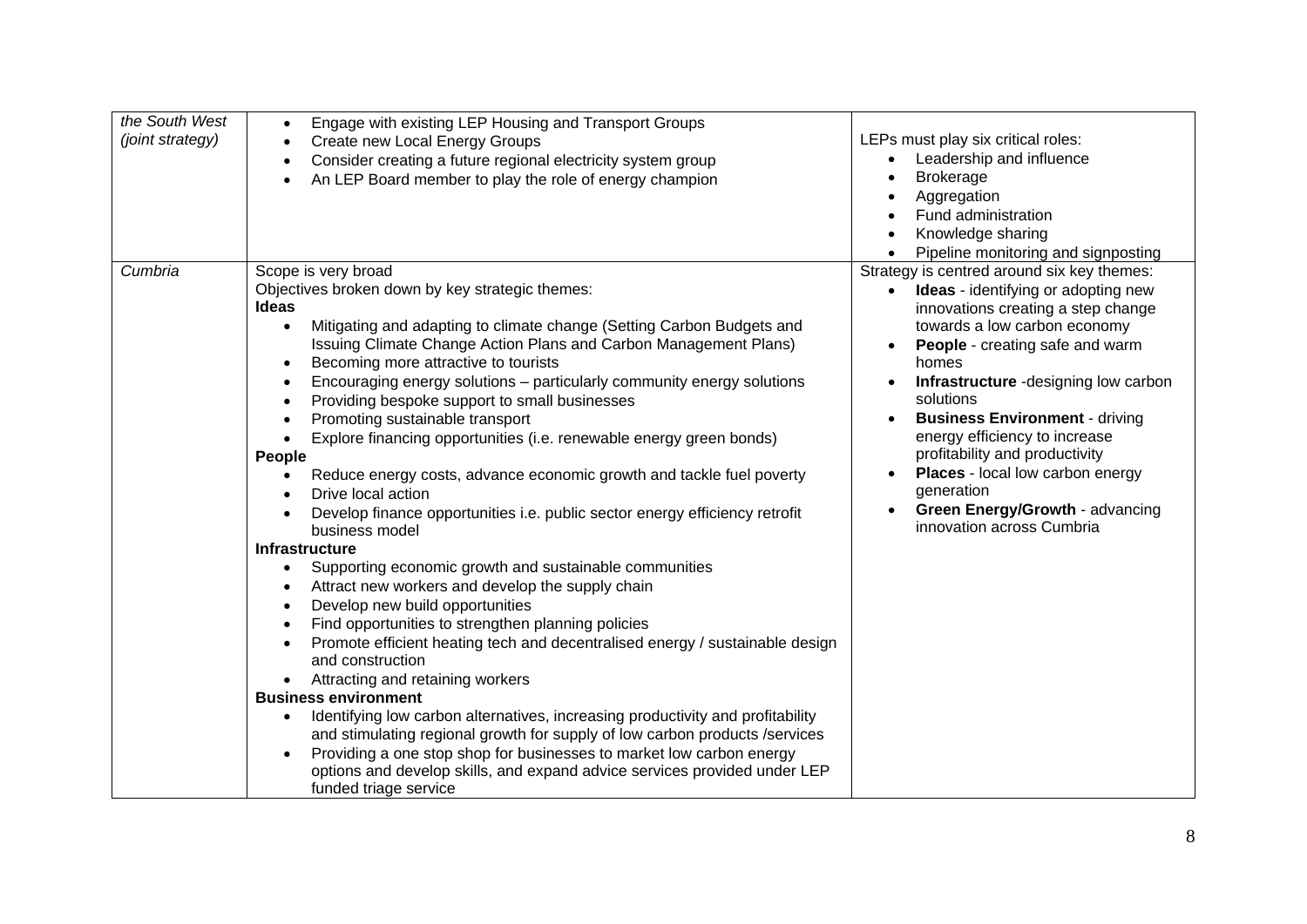| the South West<br>(joint strategy) | Engage with existing LEP Housing and Transport Groups<br>$\bullet$<br>Create new Local Energy Groups<br>$\bullet$<br>Consider creating a future regional electricity system group<br>$\bullet$<br>An LEP Board member to play the role of energy champion                                                                                                                                                                                                                                                                                                                                                                                                                                                                                                                                                                                                                                                                                                                                                                                                                                                                                                                                                                                                                                                                                                                                                                                                                                                                                                                                                                                                                   | LEPs must play six critical roles:<br>Leadership and influence<br>$\bullet$<br><b>Brokerage</b><br>Aggregation<br>Fund administration<br>Knowledge sharing<br>Pipeline monitoring and signposting                                                                                                                                                                                                                                                                                                                       |
|------------------------------------|-----------------------------------------------------------------------------------------------------------------------------------------------------------------------------------------------------------------------------------------------------------------------------------------------------------------------------------------------------------------------------------------------------------------------------------------------------------------------------------------------------------------------------------------------------------------------------------------------------------------------------------------------------------------------------------------------------------------------------------------------------------------------------------------------------------------------------------------------------------------------------------------------------------------------------------------------------------------------------------------------------------------------------------------------------------------------------------------------------------------------------------------------------------------------------------------------------------------------------------------------------------------------------------------------------------------------------------------------------------------------------------------------------------------------------------------------------------------------------------------------------------------------------------------------------------------------------------------------------------------------------------------------------------------------------|-------------------------------------------------------------------------------------------------------------------------------------------------------------------------------------------------------------------------------------------------------------------------------------------------------------------------------------------------------------------------------------------------------------------------------------------------------------------------------------------------------------------------|
| Cumbria                            | Scope is very broad<br>Objectives broken down by key strategic themes:<br>Ideas<br>Mitigating and adapting to climate change (Setting Carbon Budgets and<br>$\bullet$<br>Issuing Climate Change Action Plans and Carbon Management Plans)<br>Becoming more attractive to tourists<br>$\bullet$<br>Encouraging energy solutions - particularly community energy solutions<br>$\bullet$<br>Providing bespoke support to small businesses<br>$\bullet$<br>Promoting sustainable transport<br>$\bullet$<br>Explore financing opportunities (i.e. renewable energy green bonds)<br>$\bullet$<br>People<br>Reduce energy costs, advance economic growth and tackle fuel poverty<br>$\bullet$<br>Drive local action<br>$\bullet$<br>Develop finance opportunities i.e. public sector energy efficiency retrofit<br>$\bullet$<br>business model<br><b>Infrastructure</b><br>Supporting economic growth and sustainable communities<br>$\bullet$<br>Attract new workers and develop the supply chain<br>$\bullet$<br>Develop new build opportunities<br>$\bullet$<br>Find opportunities to strengthen planning policies<br>$\bullet$<br>Promote efficient heating tech and decentralised energy / sustainable design<br>and construction<br>Attracting and retaining workers<br><b>Business environment</b><br>Identifying low carbon alternatives, increasing productivity and profitability<br>$\bullet$<br>and stimulating regional growth for supply of low carbon products /services<br>Providing a one stop shop for businesses to market low carbon energy<br>$\bullet$<br>options and develop skills, and expand advice services provided under LEP<br>funded triage service | Strategy is centred around six key themes:<br><b>Ideas</b> - identifying or adopting new<br>$\bullet$<br>innovations creating a step change<br>towards a low carbon economy<br>People - creating safe and warm<br>$\bullet$<br>homes<br>Infrastructure -designing low carbon<br>solutions<br><b>Business Environment - driving</b><br>energy efficiency to increase<br>profitability and productivity<br>Places - local low carbon energy<br>generation<br>Green Energy/Growth - advancing<br>innovation across Cumbria |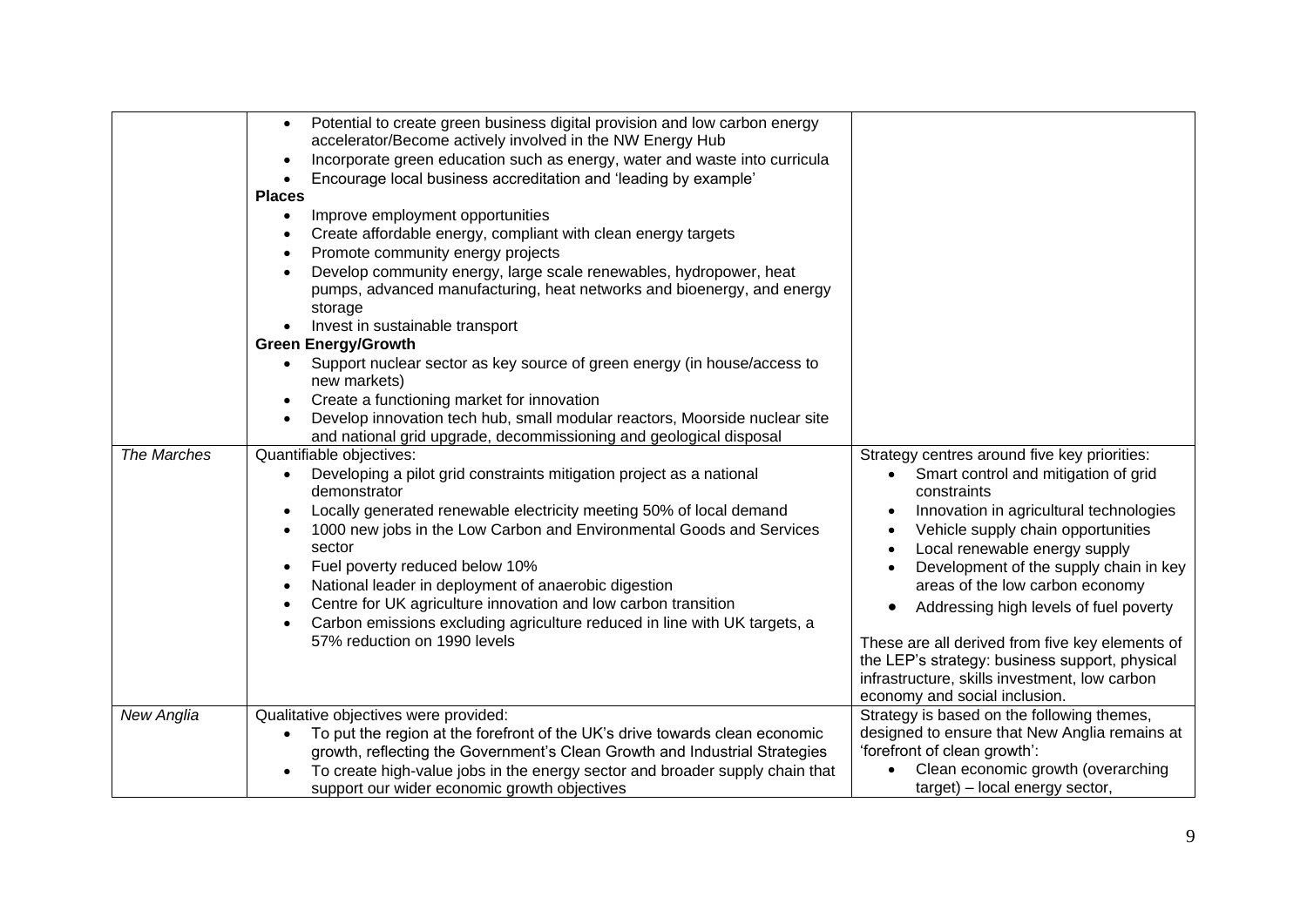| The Marches | Potential to create green business digital provision and low carbon energy<br>$\bullet$<br>accelerator/Become actively involved in the NW Energy Hub<br>Incorporate green education such as energy, water and waste into curricula<br>Encourage local business accreditation and 'leading by example'<br>$\bullet$<br><b>Places</b><br>Improve employment opportunities<br>$\bullet$<br>Create affordable energy, compliant with clean energy targets<br>$\bullet$<br>Promote community energy projects<br>$\bullet$<br>Develop community energy, large scale renewables, hydropower, heat<br>$\bullet$<br>pumps, advanced manufacturing, heat networks and bioenergy, and energy<br>storage<br>Invest in sustainable transport<br><b>Green Energy/Growth</b><br>Support nuclear sector as key source of green energy (in house/access to<br>$\bullet$<br>new markets)<br>Create a functioning market for innovation<br>$\bullet$<br>Develop innovation tech hub, small modular reactors, Moorside nuclear site<br>and national grid upgrade, decommissioning and geological disposal<br>Quantifiable objectives:<br>Developing a pilot grid constraints mitigation project as a national<br>$\bullet$<br>demonstrator<br>Locally generated renewable electricity meeting 50% of local demand<br>1000 new jobs in the Low Carbon and Environmental Goods and Services<br>sector<br>Fuel poverty reduced below 10%<br>$\bullet$<br>National leader in deployment of anaerobic digestion<br>Centre for UK agriculture innovation and low carbon transition<br>$\bullet$<br>Carbon emissions excluding agriculture reduced in line with UK targets, a<br>$\bullet$<br>57% reduction on 1990 levels | Strategy centres around five key priorities:<br>Smart control and mitigation of grid<br>$\bullet$<br>constraints<br>Innovation in agricultural technologies<br>$\bullet$<br>Vehicle supply chain opportunities<br>Local renewable energy supply<br>Development of the supply chain in key<br>areas of the low carbon economy<br>Addressing high levels of fuel poverty<br>These are all derived from five key elements of<br>the LEP's strategy: business support, physical |
|-------------|-------------------------------------------------------------------------------------------------------------------------------------------------------------------------------------------------------------------------------------------------------------------------------------------------------------------------------------------------------------------------------------------------------------------------------------------------------------------------------------------------------------------------------------------------------------------------------------------------------------------------------------------------------------------------------------------------------------------------------------------------------------------------------------------------------------------------------------------------------------------------------------------------------------------------------------------------------------------------------------------------------------------------------------------------------------------------------------------------------------------------------------------------------------------------------------------------------------------------------------------------------------------------------------------------------------------------------------------------------------------------------------------------------------------------------------------------------------------------------------------------------------------------------------------------------------------------------------------------------------------------------------------------------------------------------------------------|-----------------------------------------------------------------------------------------------------------------------------------------------------------------------------------------------------------------------------------------------------------------------------------------------------------------------------------------------------------------------------------------------------------------------------------------------------------------------------|
|             |                                                                                                                                                                                                                                                                                                                                                                                                                                                                                                                                                                                                                                                                                                                                                                                                                                                                                                                                                                                                                                                                                                                                                                                                                                                                                                                                                                                                                                                                                                                                                                                                                                                                                                 | infrastructure, skills investment, low carbon<br>economy and social inclusion.                                                                                                                                                                                                                                                                                                                                                                                              |
| New Anglia  | Qualitative objectives were provided:<br>To put the region at the forefront of the UK's drive towards clean economic<br>$\bullet$<br>growth, reflecting the Government's Clean Growth and Industrial Strategies<br>To create high-value jobs in the energy sector and broader supply chain that<br>support our wider economic growth objectives                                                                                                                                                                                                                                                                                                                                                                                                                                                                                                                                                                                                                                                                                                                                                                                                                                                                                                                                                                                                                                                                                                                                                                                                                                                                                                                                                 | Strategy is based on the following themes,<br>designed to ensure that New Anglia remains at<br>'forefront of clean growth':<br>Clean economic growth (overarching<br>target) – local energy sector,                                                                                                                                                                                                                                                                         |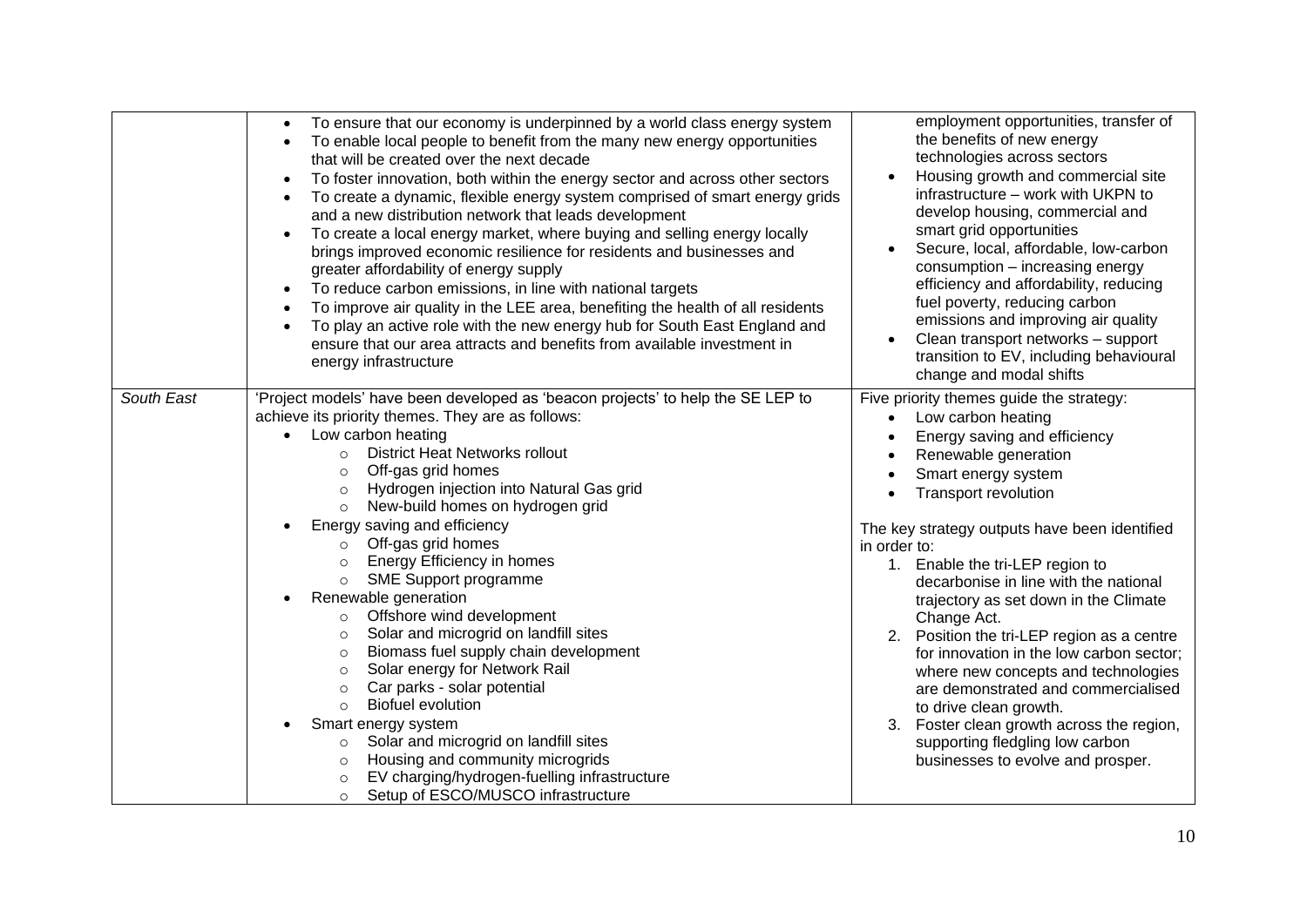|            | To ensure that our economy is underpinned by a world class energy system<br>To enable local people to benefit from the many new energy opportunities<br>that will be created over the next decade<br>To foster innovation, both within the energy sector and across other sectors<br>$\bullet$<br>To create a dynamic, flexible energy system comprised of smart energy grids<br>$\bullet$<br>and a new distribution network that leads development<br>To create a local energy market, where buying and selling energy locally<br>$\bullet$<br>brings improved economic resilience for residents and businesses and<br>greater affordability of energy supply<br>To reduce carbon emissions, in line with national targets<br>$\bullet$<br>To improve air quality in the LEE area, benefiting the health of all residents<br>To play an active role with the new energy hub for South East England and<br>ensure that our area attracts and benefits from available investment in<br>energy infrastructure                                     | employment opportunities, transfer of<br>the benefits of new energy<br>technologies across sectors<br>Housing growth and commercial site<br>infrastructure - work with UKPN to<br>develop housing, commercial and<br>smart grid opportunities<br>Secure, local, affordable, low-carbon<br>consumption - increasing energy<br>efficiency and affordability, reducing<br>fuel poverty, reducing carbon<br>emissions and improving air quality<br>Clean transport networks - support<br>transition to EV, including behavioural<br>change and modal shifts                                                                                                                                                  |
|------------|-------------------------------------------------------------------------------------------------------------------------------------------------------------------------------------------------------------------------------------------------------------------------------------------------------------------------------------------------------------------------------------------------------------------------------------------------------------------------------------------------------------------------------------------------------------------------------------------------------------------------------------------------------------------------------------------------------------------------------------------------------------------------------------------------------------------------------------------------------------------------------------------------------------------------------------------------------------------------------------------------------------------------------------------------|----------------------------------------------------------------------------------------------------------------------------------------------------------------------------------------------------------------------------------------------------------------------------------------------------------------------------------------------------------------------------------------------------------------------------------------------------------------------------------------------------------------------------------------------------------------------------------------------------------------------------------------------------------------------------------------------------------|
| South East | 'Project models' have been developed as 'beacon projects' to help the SE LEP to<br>achieve its priority themes. They are as follows:<br>Low carbon heating<br><b>District Heat Networks rollout</b><br>$\circ$<br>Off-gas grid homes<br>$\Omega$<br>Hydrogen injection into Natural Gas grid<br>$\circ$<br>New-build homes on hydrogen grid<br>$\circ$<br>Energy saving and efficiency<br>Off-gas grid homes<br>$\circ$<br>Energy Efficiency in homes<br>$\circ$<br>SME Support programme<br>$\circ$<br>Renewable generation<br>Offshore wind development<br>$\circ$<br>Solar and microgrid on landfill sites<br>$\circ$<br>Biomass fuel supply chain development<br>$\circ$<br>Solar energy for Network Rail<br>$\circ$<br>Car parks - solar potential<br>$\circ$<br><b>Biofuel evolution</b><br>$\circ$<br>Smart energy system<br>Solar and microgrid on landfill sites<br>$\circ$<br>Housing and community microgrids<br>$\circ$<br>EV charging/hydrogen-fuelling infrastructure<br>$\circ$<br>Setup of ESCO/MUSCO infrastructure<br>$\circ$ | Five priority themes guide the strategy:<br>Low carbon heating<br>Energy saving and efficiency<br>Renewable generation<br>Smart energy system<br><b>Transport revolution</b><br>The key strategy outputs have been identified<br>in order to:<br>1. Enable the tri-LEP region to<br>decarbonise in line with the national<br>trajectory as set down in the Climate<br>Change Act.<br>Position the tri-LEP region as a centre<br>2.<br>for innovation in the low carbon sector;<br>where new concepts and technologies<br>are demonstrated and commercialised<br>to drive clean growth.<br>Foster clean growth across the region,<br>supporting fledgling low carbon<br>businesses to evolve and prosper. |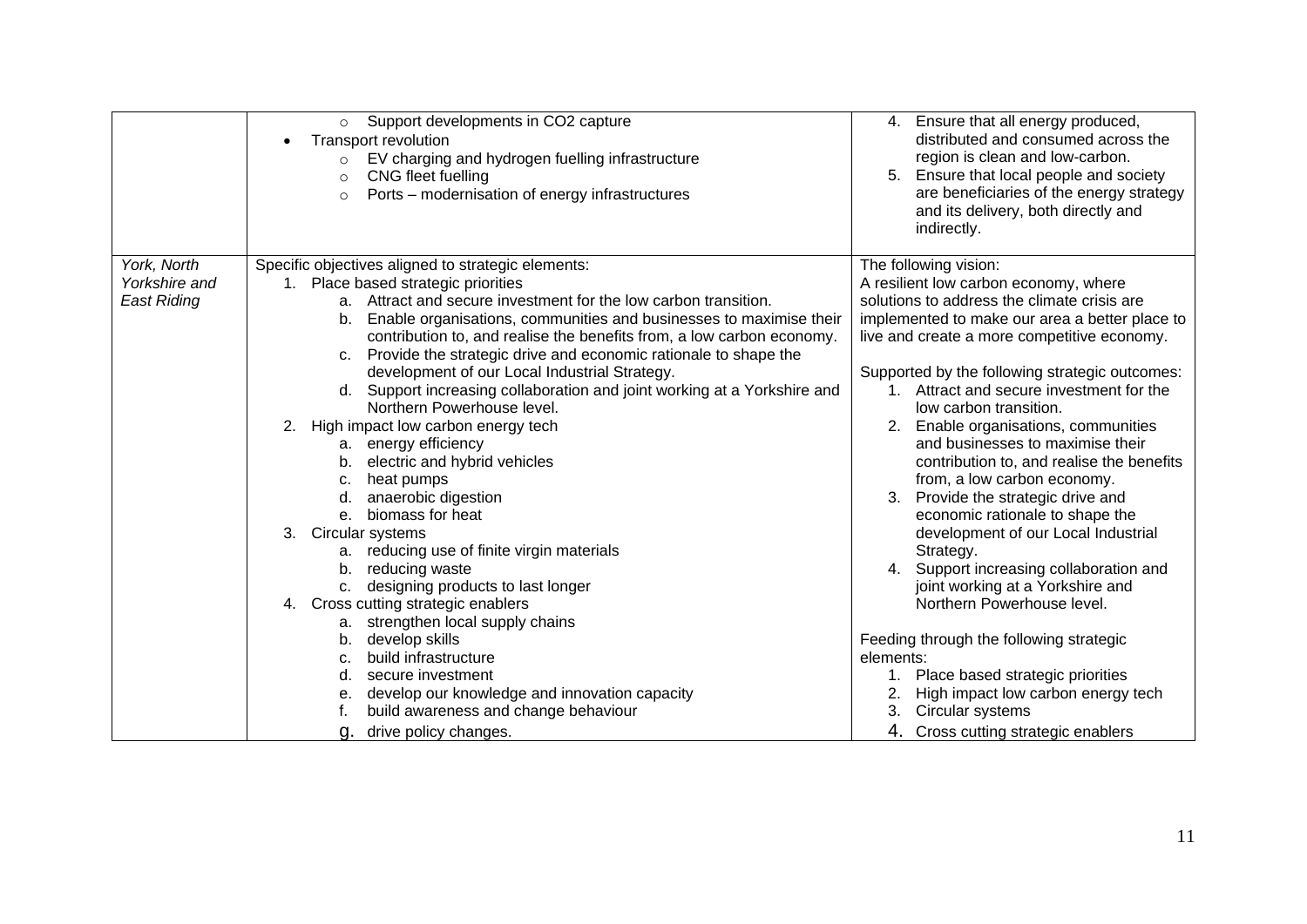|                    | Support developments in CO2 capture<br>$\circ$<br>Transport revolution<br>EV charging and hydrogen fuelling infrastructure<br>$\circ$<br>CNG fleet fuelling<br>$\circ$<br>Ports – modernisation of energy infrastructures<br>$\circ$ | 4. Ensure that all energy produced,<br>distributed and consumed across the<br>region is clean and low-carbon.<br>Ensure that local people and society<br>are beneficiaries of the energy strategy<br>and its delivery, both directly and<br>indirectly. |
|--------------------|--------------------------------------------------------------------------------------------------------------------------------------------------------------------------------------------------------------------------------------|---------------------------------------------------------------------------------------------------------------------------------------------------------------------------------------------------------------------------------------------------------|
| York, North        | Specific objectives aligned to strategic elements:                                                                                                                                                                                   | The following vision:                                                                                                                                                                                                                                   |
| Yorkshire and      | 1. Place based strategic priorities                                                                                                                                                                                                  | A resilient low carbon economy, where                                                                                                                                                                                                                   |
| <b>East Riding</b> | Attract and secure investment for the low carbon transition.<br>а.                                                                                                                                                                   | solutions to address the climate crisis are                                                                                                                                                                                                             |
|                    | Enable organisations, communities and businesses to maximise their<br>b.                                                                                                                                                             | implemented to make our area a better place to                                                                                                                                                                                                          |
|                    | contribution to, and realise the benefits from, a low carbon economy.                                                                                                                                                                | live and create a more competitive economy.                                                                                                                                                                                                             |
|                    | Provide the strategic drive and economic rationale to shape the<br>C.                                                                                                                                                                |                                                                                                                                                                                                                                                         |
|                    | development of our Local Industrial Strategy.                                                                                                                                                                                        | Supported by the following strategic outcomes:                                                                                                                                                                                                          |
|                    | Support increasing collaboration and joint working at a Yorkshire and                                                                                                                                                                | Attract and secure investment for the<br>$1_{-}$                                                                                                                                                                                                        |
|                    | Northern Powerhouse level.                                                                                                                                                                                                           | low carbon transition.                                                                                                                                                                                                                                  |
|                    | High impact low carbon energy tech<br>2.                                                                                                                                                                                             | Enable organisations, communities<br>2.                                                                                                                                                                                                                 |
|                    | a. energy efficiency                                                                                                                                                                                                                 | and businesses to maximise their                                                                                                                                                                                                                        |
|                    | electric and hybrid vehicles<br>b.                                                                                                                                                                                                   | contribution to, and realise the benefits                                                                                                                                                                                                               |
|                    | heat pumps<br>c.                                                                                                                                                                                                                     | from, a low carbon economy.                                                                                                                                                                                                                             |
|                    | anaerobic digestion<br>d.                                                                                                                                                                                                            | Provide the strategic drive and<br>3.                                                                                                                                                                                                                   |
|                    | biomass for heat<br>$e_{-}$                                                                                                                                                                                                          | economic rationale to shape the                                                                                                                                                                                                                         |
|                    | 3.<br>Circular systems                                                                                                                                                                                                               | development of our Local Industrial                                                                                                                                                                                                                     |
|                    | reducing use of finite virgin materials<br>а.                                                                                                                                                                                        | Strategy.                                                                                                                                                                                                                                               |
|                    | reducing waste<br>b.                                                                                                                                                                                                                 | Support increasing collaboration and                                                                                                                                                                                                                    |
|                    | designing products to last longer<br>C.                                                                                                                                                                                              | joint working at a Yorkshire and                                                                                                                                                                                                                        |
|                    | Cross cutting strategic enablers<br>4.                                                                                                                                                                                               | Northern Powerhouse level.                                                                                                                                                                                                                              |
|                    | strengthen local supply chains<br>а.                                                                                                                                                                                                 |                                                                                                                                                                                                                                                         |
|                    | develop skills<br>b.                                                                                                                                                                                                                 | Feeding through the following strategic                                                                                                                                                                                                                 |
|                    | build infrastructure<br>C.                                                                                                                                                                                                           | elements:                                                                                                                                                                                                                                               |
|                    | secure investment<br>d.                                                                                                                                                                                                              | 1. Place based strategic priorities                                                                                                                                                                                                                     |
|                    | develop our knowledge and innovation capacity                                                                                                                                                                                        | High impact low carbon energy tech                                                                                                                                                                                                                      |
|                    | build awareness and change behaviour                                                                                                                                                                                                 | Circular systems<br>3.                                                                                                                                                                                                                                  |
|                    | drive policy changes.<br>g.                                                                                                                                                                                                          | 4. Cross cutting strategic enablers                                                                                                                                                                                                                     |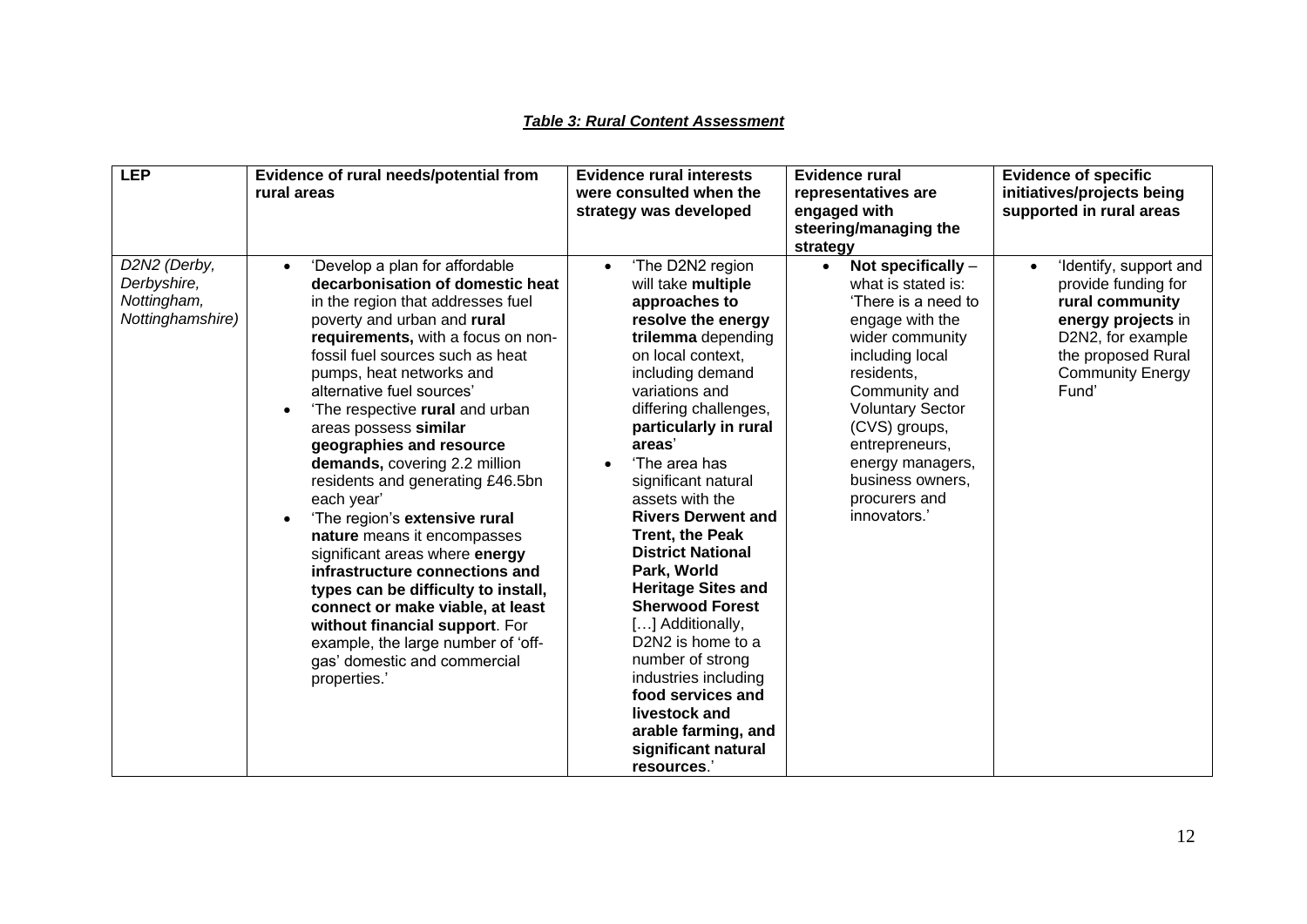#### *Table 3: Rural Content Assessment*

| <b>LEP</b>                                                     | Evidence of rural needs/potential from<br>rural areas                                                                                                                                                                                                                                                                                                                                                                                                                                                                                                                                                                                                                                                                                                                                       | <b>Evidence rural interests</b><br>were consulted when the<br>strategy was developed                                                                                                                                                                                                                                                                                                                                                                                                                                                                                                                                                                            | <b>Evidence rural</b><br>representatives are<br>engaged with<br>steering/managing the<br>strategy                                                                                                                                                                                                             | <b>Evidence of specific</b><br>initiatives/projects being<br>supported in rural areas                                                                                              |
|----------------------------------------------------------------|---------------------------------------------------------------------------------------------------------------------------------------------------------------------------------------------------------------------------------------------------------------------------------------------------------------------------------------------------------------------------------------------------------------------------------------------------------------------------------------------------------------------------------------------------------------------------------------------------------------------------------------------------------------------------------------------------------------------------------------------------------------------------------------------|-----------------------------------------------------------------------------------------------------------------------------------------------------------------------------------------------------------------------------------------------------------------------------------------------------------------------------------------------------------------------------------------------------------------------------------------------------------------------------------------------------------------------------------------------------------------------------------------------------------------------------------------------------------------|---------------------------------------------------------------------------------------------------------------------------------------------------------------------------------------------------------------------------------------------------------------------------------------------------------------|------------------------------------------------------------------------------------------------------------------------------------------------------------------------------------|
| D2N2 (Derby,<br>Derbyshire,<br>Nottingham,<br>Nottinghamshire) | 'Develop a plan for affordable<br>decarbonisation of domestic heat<br>in the region that addresses fuel<br>poverty and urban and rural<br>requirements, with a focus on non-<br>fossil fuel sources such as heat<br>pumps, heat networks and<br>alternative fuel sources'<br>'The respective rural and urban<br>areas possess similar<br>geographies and resource<br>demands, covering 2.2 million<br>residents and generating £46.5bn<br>each year'<br>'The region's extensive rural<br>nature means it encompasses<br>significant areas where energy<br>infrastructure connections and<br>types can be difficulty to install,<br>connect or make viable, at least<br>without financial support. For<br>example, the large number of 'off-<br>gas' domestic and commercial<br>properties.' | 'The D2N2 region<br>will take multiple<br>approaches to<br>resolve the energy<br>trilemma depending<br>on local context,<br>including demand<br>variations and<br>differing challenges,<br>particularly in rural<br>areas'<br>'The area has<br>significant natural<br>assets with the<br><b>Rivers Derwent and</b><br><b>Trent, the Peak</b><br><b>District National</b><br>Park, World<br><b>Heritage Sites and</b><br><b>Sherwood Forest</b><br>[] Additionally,<br>D <sub>2</sub> N <sub>2</sub> is home to a<br>number of strong<br>industries including<br>food services and<br>livestock and<br>arable farming, and<br>significant natural<br>resources.' | Not specifically $-$<br>$\bullet$<br>what is stated is:<br>'There is a need to<br>engage with the<br>wider community<br>including local<br>residents,<br>Community and<br><b>Voluntary Sector</b><br>(CVS) groups,<br>entrepreneurs,<br>energy managers,<br>business owners,<br>procurers and<br>innovators.' | 'Identify, support and<br>$\bullet$<br>provide funding for<br>rural community<br>energy projects in<br>D2N2, for example<br>the proposed Rural<br><b>Community Energy</b><br>Fund' |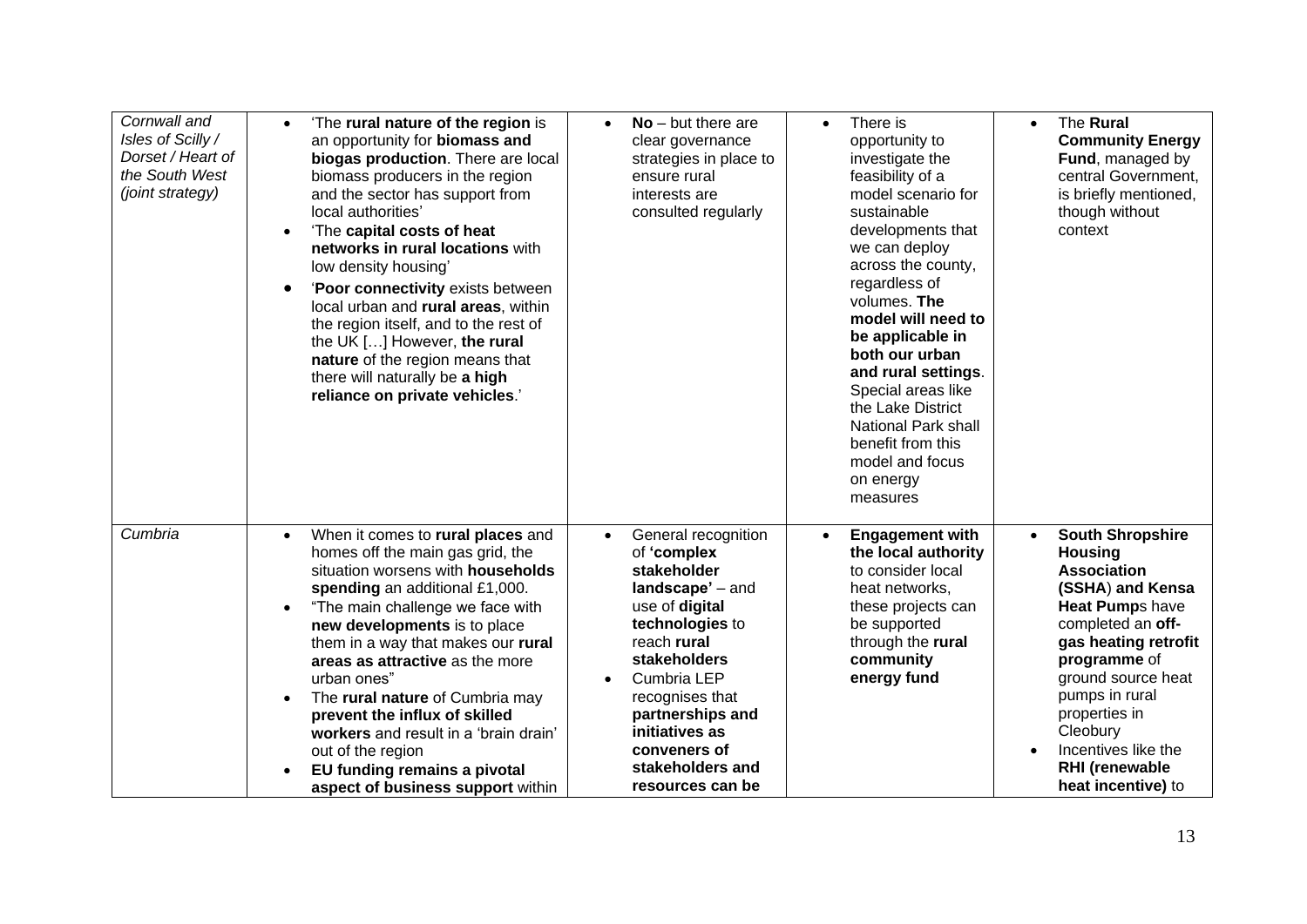| Cornwall and<br>Isles of Scilly /<br>Dorset / Heart of<br>the South West<br>(joint strategy) | 'The rural nature of the region is<br>$\bullet$<br>an opportunity for biomass and<br>biogas production. There are local<br>biomass producers in the region<br>and the sector has support from<br>local authorities'<br>'The capital costs of heat<br>$\bullet$<br>networks in rural locations with<br>low density housing'<br>'Poor connectivity exists between<br>local urban and rural areas, within<br>the region itself, and to the rest of<br>the UK [] However, the rural<br>nature of the region means that<br>there will naturally be a high<br>reliance on private vehicles.' | $No$ – but there are<br>clear governance<br>strategies in place to<br>ensure rural<br>interests are<br>consulted regularly                                                                                                                                                | There is<br>$\bullet$<br>opportunity to<br>investigate the<br>feasibility of a<br>model scenario for<br>sustainable<br>developments that<br>we can deploy<br>across the county,<br>regardless of<br>volumes. The<br>model will need to<br>be applicable in<br>both our urban<br>and rural settings.<br>Special areas like<br>the Lake District<br><b>National Park shall</b><br>benefit from this<br>model and focus<br>on energy<br>measures | The Rural<br>$\bullet$<br><b>Community Energy</b><br>Fund, managed by<br>central Government,<br>is briefly mentioned,<br>though without<br>context                                                                                                                                                                                       |
|----------------------------------------------------------------------------------------------|----------------------------------------------------------------------------------------------------------------------------------------------------------------------------------------------------------------------------------------------------------------------------------------------------------------------------------------------------------------------------------------------------------------------------------------------------------------------------------------------------------------------------------------------------------------------------------------|---------------------------------------------------------------------------------------------------------------------------------------------------------------------------------------------------------------------------------------------------------------------------|-----------------------------------------------------------------------------------------------------------------------------------------------------------------------------------------------------------------------------------------------------------------------------------------------------------------------------------------------------------------------------------------------------------------------------------------------|------------------------------------------------------------------------------------------------------------------------------------------------------------------------------------------------------------------------------------------------------------------------------------------------------------------------------------------|
| Cumbria                                                                                      | When it comes to rural places and<br>$\bullet$<br>homes off the main gas grid, the<br>situation worsens with households<br>spending an additional £1,000.<br>"The main challenge we face with<br>new developments is to place<br>them in a way that makes our rural<br>areas as attractive as the more<br>urban ones"<br>The rural nature of Cumbria may<br>prevent the influx of skilled<br>workers and result in a 'brain drain'<br>out of the region<br>EU funding remains a pivotal<br>aspect of business support within                                                           | General recognition<br>of 'complex<br>stakeholder<br>landscape' - and<br>use of digital<br>technologies to<br>reach rural<br>stakeholders<br>Cumbria LEP<br>recognises that<br>partnerships and<br>initiatives as<br>conveners of<br>stakeholders and<br>resources can be | <b>Engagement with</b><br>$\bullet$<br>the local authority<br>to consider local<br>heat networks,<br>these projects can<br>be supported<br>through the rural<br>community<br>energy fund                                                                                                                                                                                                                                                      | <b>South Shropshire</b><br>$\bullet$<br><b>Housing</b><br><b>Association</b><br>(SSHA) and Kensa<br>Heat Pumps have<br>completed an off-<br>gas heating retrofit<br>programme of<br>ground source heat<br>pumps in rural<br>properties in<br>Cleobury<br>Incentives like the<br>$\bullet$<br><b>RHI</b> (renewable<br>heat incentive) to |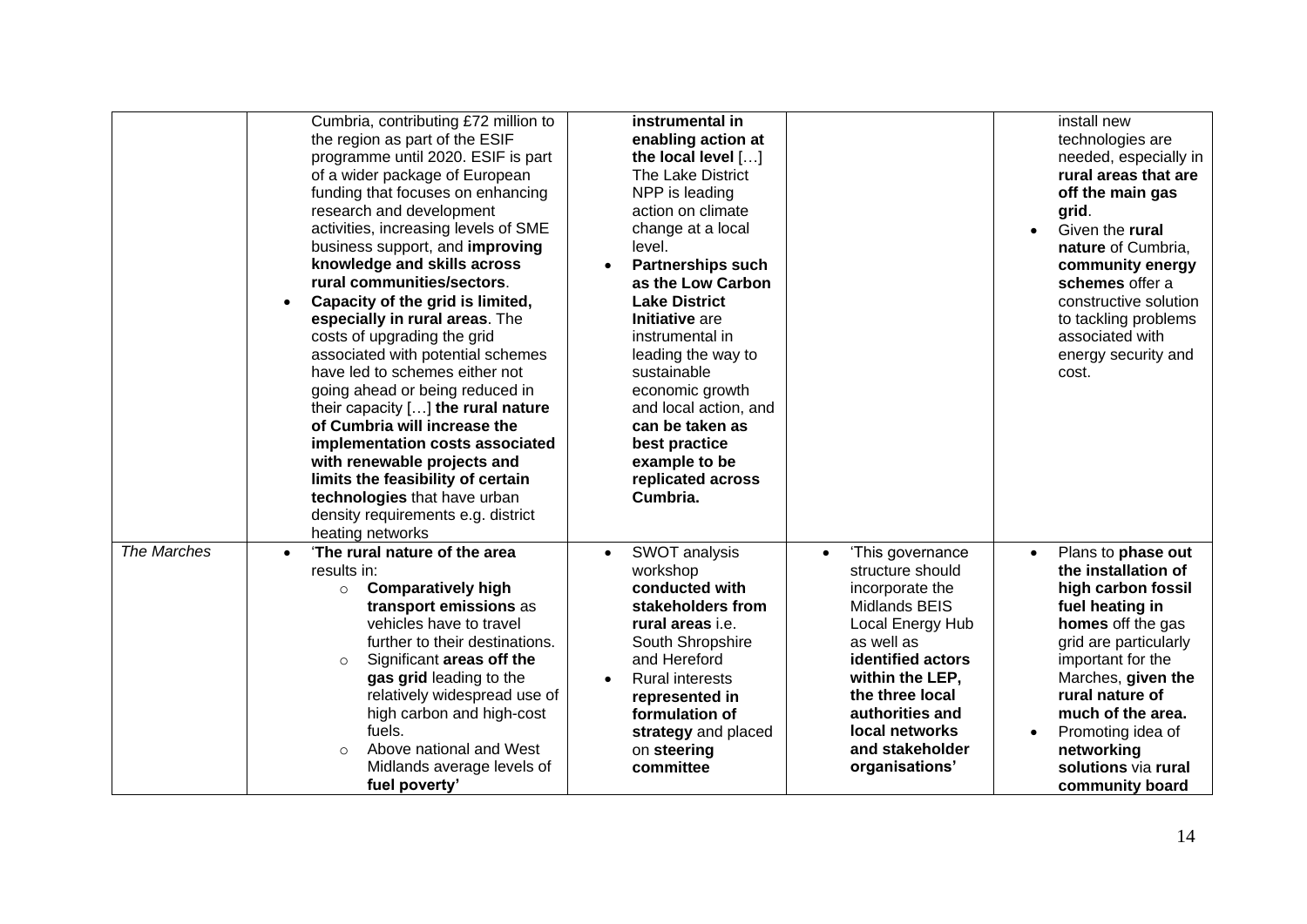|             | Cumbria, contributing £72 million to<br>the region as part of the ESIF<br>programme until 2020. ESIF is part<br>of a wider package of European<br>funding that focuses on enhancing<br>research and development<br>activities, increasing levels of SME<br>business support, and improving<br>knowledge and skills across<br>rural communities/sectors.<br>Capacity of the grid is limited,<br>$\bullet$<br>especially in rural areas. The<br>costs of upgrading the grid<br>associated with potential schemes<br>have led to schemes either not<br>going ahead or being reduced in<br>their capacity $[]$ the rural nature<br>of Cumbria will increase the<br>implementation costs associated<br>with renewable projects and<br>limits the feasibility of certain<br>technologies that have urban<br>density requirements e.g. district<br>heating networks | instrumental in<br>enabling action at<br>the local level []<br>The Lake District<br>NPP is leading<br>action on climate<br>change at a local<br>level.<br><b>Partnerships such</b><br>as the Low Carbon<br><b>Lake District</b><br>Initiative are<br>instrumental in<br>leading the way to<br>sustainable<br>economic growth<br>and local action, and<br>can be taken as<br>best practice<br>example to be<br>replicated across<br>Cumbria.                                                                      | install new<br>technologies are<br>needed, especially in<br>rural areas that are<br>off the main gas<br>grid.<br>Given the rural<br>nature of Cumbria,<br>community energy<br>schemes offer a<br>constructive solution<br>to tackling problems<br>associated with<br>energy security and<br>cost.             |
|-------------|--------------------------------------------------------------------------------------------------------------------------------------------------------------------------------------------------------------------------------------------------------------------------------------------------------------------------------------------------------------------------------------------------------------------------------------------------------------------------------------------------------------------------------------------------------------------------------------------------------------------------------------------------------------------------------------------------------------------------------------------------------------------------------------------------------------------------------------------------------------|------------------------------------------------------------------------------------------------------------------------------------------------------------------------------------------------------------------------------------------------------------------------------------------------------------------------------------------------------------------------------------------------------------------------------------------------------------------------------------------------------------------|---------------------------------------------------------------------------------------------------------------------------------------------------------------------------------------------------------------------------------------------------------------------------------------------------------------|
| The Marches | 'The rural nature of the area<br>$\bullet$<br>results in:<br><b>Comparatively high</b><br>$\circ$<br>transport emissions as<br>vehicles have to travel<br>further to their destinations.<br>Significant areas off the<br>$\circ$<br>gas grid leading to the<br>relatively widespread use of<br>high carbon and high-cost<br>fuels.<br>Above national and West<br>$\Omega$<br>Midlands average levels of<br>fuel poverty'                                                                                                                                                                                                                                                                                                                                                                                                                                     | SWOT analysis<br>'This governance<br>$\bullet$<br>structure should<br>workshop<br>conducted with<br>incorporate the<br>stakeholders from<br>Midlands BEIS<br>rural areas <i>i.e.</i><br>Local Energy Hub<br>as well as<br>South Shropshire<br>and Hereford<br>identified actors<br>within the LEP,<br><b>Rural interests</b><br>the three local<br>represented in<br>authorities and<br>formulation of<br>local networks<br>strategy and placed<br>and stakeholder<br>on steering<br>committee<br>organisations' | Plans to phase out<br>$\bullet$<br>the installation of<br>high carbon fossil<br>fuel heating in<br>homes off the gas<br>grid are particularly<br>important for the<br>Marches, given the<br>rural nature of<br>much of the area.<br>Promoting idea of<br>networking<br>solutions via rural<br>community board |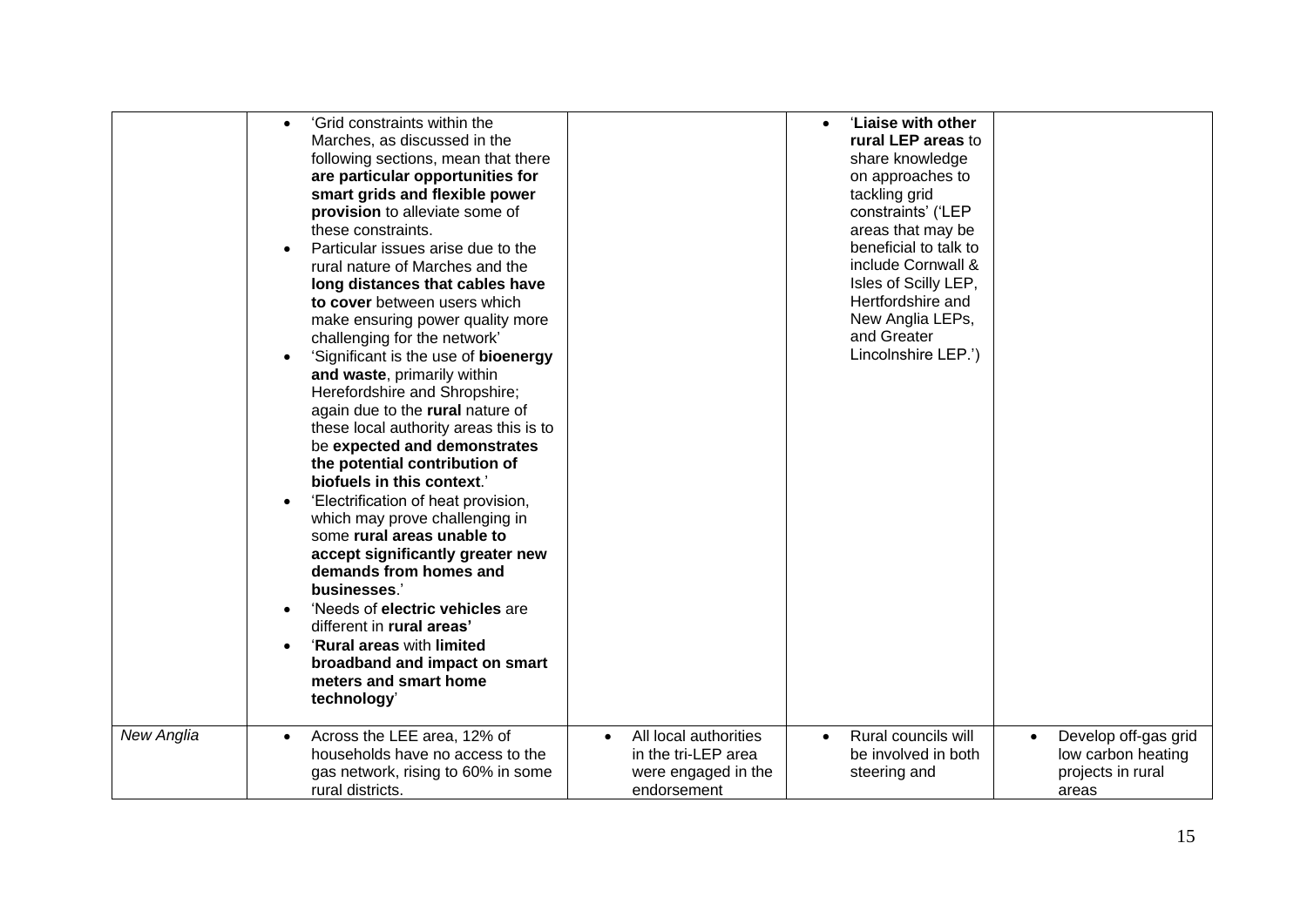| $\bullet$                           | 'Grid constraints within the                                                                                                                                                                                                                                                                                                                                                                                                                                                                                                                                                                                                                                                                                                                                                                                                                                                                                                                                                                                                     |                                                                                    | 'Liaise with other                                                                                                                                                                                                                                                          |                                                                                       |
|-------------------------------------|----------------------------------------------------------------------------------------------------------------------------------------------------------------------------------------------------------------------------------------------------------------------------------------------------------------------------------------------------------------------------------------------------------------------------------------------------------------------------------------------------------------------------------------------------------------------------------------------------------------------------------------------------------------------------------------------------------------------------------------------------------------------------------------------------------------------------------------------------------------------------------------------------------------------------------------------------------------------------------------------------------------------------------|------------------------------------------------------------------------------------|-----------------------------------------------------------------------------------------------------------------------------------------------------------------------------------------------------------------------------------------------------------------------------|---------------------------------------------------------------------------------------|
| $\bullet$<br>$\bullet$<br>$\bullet$ | Marches, as discussed in the<br>following sections, mean that there<br>are particular opportunities for<br>smart grids and flexible power<br>provision to alleviate some of<br>these constraints.<br>Particular issues arise due to the<br>rural nature of Marches and the<br>long distances that cables have<br>to cover between users which<br>make ensuring power quality more<br>challenging for the network'<br>'Significant is the use of <b>bioenergy</b><br>and waste, primarily within<br>Herefordshire and Shropshire;<br>again due to the rural nature of<br>these local authority areas this is to<br>be expected and demonstrates<br>the potential contribution of<br>biofuels in this context.'<br>'Electrification of heat provision,<br>which may prove challenging in<br>some rural areas unable to<br>accept significantly greater new<br>demands from homes and<br>businesses.'<br>'Needs of electric vehicles are<br>different in rural areas'<br>'Rural areas with limited<br>broadband and impact on smart |                                                                                    | rural LEP areas to<br>share knowledge<br>on approaches to<br>tackling grid<br>constraints' ('LEP<br>areas that may be<br>beneficial to talk to<br>include Cornwall &<br>Isles of Scilly LEP,<br>Hertfordshire and<br>New Anglia LEPs,<br>and Greater<br>Lincolnshire LEP.') |                                                                                       |
|                                     | meters and smart home<br>technology'                                                                                                                                                                                                                                                                                                                                                                                                                                                                                                                                                                                                                                                                                                                                                                                                                                                                                                                                                                                             |                                                                                    |                                                                                                                                                                                                                                                                             |                                                                                       |
| New Anglia<br>$\bullet$             | Across the LEE area, 12% of<br>households have no access to the<br>gas network, rising to 60% in some<br>rural districts.                                                                                                                                                                                                                                                                                                                                                                                                                                                                                                                                                                                                                                                                                                                                                                                                                                                                                                        | All local authorities<br>in the tri-LEP area<br>were engaged in the<br>endorsement | Rural councils will<br>$\bullet$<br>be involved in both<br>steering and                                                                                                                                                                                                     | Develop off-gas grid<br>$\bullet$<br>low carbon heating<br>projects in rural<br>areas |